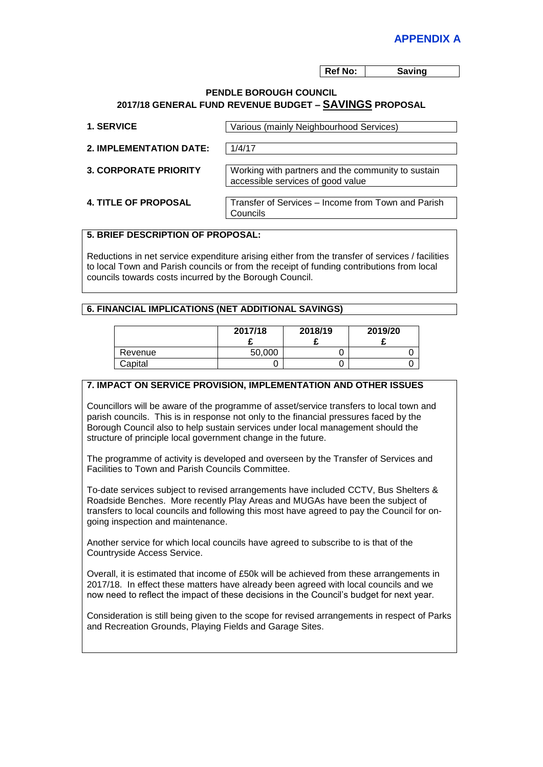**Ref No: Saving** 

#### **PENDLE BOROUGH COUNCIL 2017/18 GENERAL FUND REVENUE BUDGET – SAVINGS PROPOSAL**

| <b>1. SERVICE</b>              | Various (mainly Neighbourhood Services)                                                 |
|--------------------------------|-----------------------------------------------------------------------------------------|
| <b>2. IMPLEMENTATION DATE:</b> | 1/4/17                                                                                  |
| <b>3. CORPORATE PRIORITY</b>   | Working with partners and the community to sustain<br>accessible services of good value |
| <b>4. TITLE OF PROPOSAL</b>    | Transfer of Services - Income from Town and Parish<br>Councils                          |

# **5. BRIEF DESCRIPTION OF PROPOSAL:**

Reductions in net service expenditure arising either from the transfer of services / facilities to local Town and Parish councils or from the receipt of funding contributions from local councils towards costs incurred by the Borough Council.

### **6. FINANCIAL IMPLICATIONS (NET ADDITIONAL SAVINGS)**

|         | 2017/18 | 2018/19 | 2019/20 |
|---------|---------|---------|---------|
| Revenue | 50,000  |         |         |
| Capital |         |         |         |

## **7. IMPACT ON SERVICE PROVISION, IMPLEMENTATION AND OTHER ISSUES**

Councillors will be aware of the programme of asset/service transfers to local town and parish councils. This is in response not only to the financial pressures faced by the Borough Council also to help sustain services under local management should the structure of principle local government change in the future.

The programme of activity is developed and overseen by the Transfer of Services and Facilities to Town and Parish Councils Committee.

To-date services subject to revised arrangements have included CCTV, Bus Shelters & Roadside Benches. More recently Play Areas and MUGAs have been the subject of transfers to local councils and following this most have agreed to pay the Council for ongoing inspection and maintenance.

Another service for which local councils have agreed to subscribe to is that of the Countryside Access Service.

Overall, it is estimated that income of £50k will be achieved from these arrangements in 2017/18. In effect these matters have already been agreed with local councils and we now need to reflect the impact of these decisions in the Council's budget for next year.

Consideration is still being given to the scope for revised arrangements in respect of Parks and Recreation Grounds, Playing Fields and Garage Sites.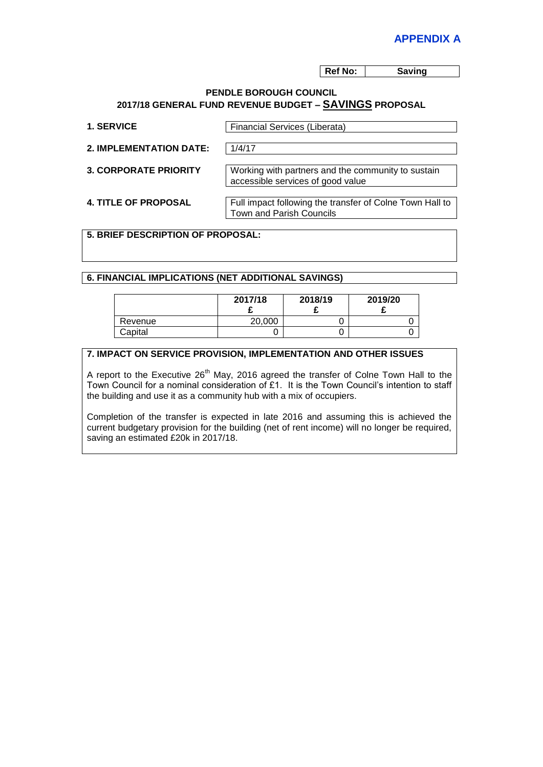**Ref No: Saving** 

#### **PENDLE BOROUGH COUNCIL 2017/18 GENERAL FUND REVENUE BUDGET – SAVINGS PROPOSAL**

| 1. SERVICE                   | <b>Financial Services (Liberata)</b>                                                    |  |
|------------------------------|-----------------------------------------------------------------------------------------|--|
| 2. IMPLEMENTATION DATE:      | 1/4/17                                                                                  |  |
| <b>3. CORPORATE PRIORITY</b> | Working with partners and the community to sustain<br>accessible services of good value |  |
| <b>4. TITLE OF PROPOSAL</b>  | Full impact following the transfer of Colne Town Hall to<br>Town and Parish Councils    |  |

# **5. BRIEF DESCRIPTION OF PROPOSAL:**

## **6. FINANCIAL IMPLICATIONS (NET ADDITIONAL SAVINGS)**

|         | 2017/18 | 2018/19 | 2019/20 |
|---------|---------|---------|---------|
| Revenue | 20,000  |         |         |
| Capital |         |         | u       |

## **7. IMPACT ON SERVICE PROVISION, IMPLEMENTATION AND OTHER ISSUES**

A report to the Executive  $26<sup>th</sup>$  May, 2016 agreed the transfer of Colne Town Hall to the Town Council for a nominal consideration of £1. It is the Town Council's intention to staff the building and use it as a community hub with a mix of occupiers.

Completion of the transfer is expected in late 2016 and assuming this is achieved the current budgetary provision for the building (net of rent income) will no longer be required, saving an estimated £20k in 2017/18.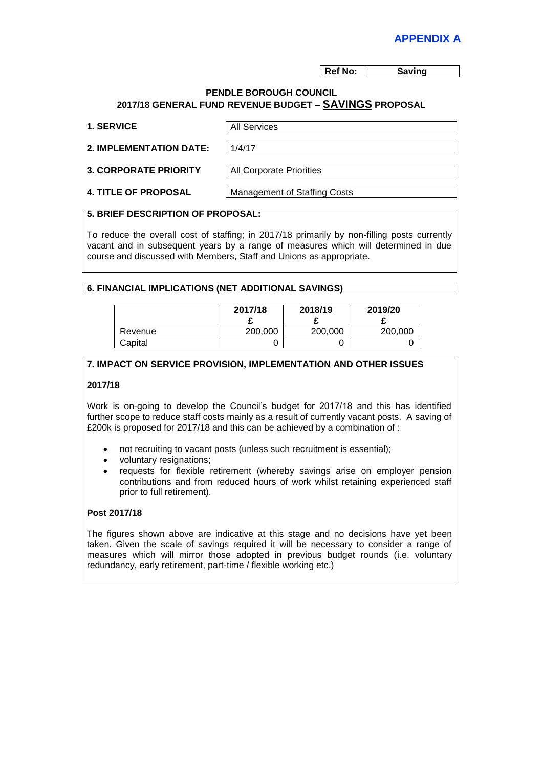**Ref No: Saving** 

#### **PENDLE BOROUGH COUNCIL 2017/18 GENERAL FUND REVENUE BUDGET – SAVINGS PROPOSAL**

| <b>1. SERVICE</b>              | <b>All Services</b>                 |
|--------------------------------|-------------------------------------|
| <b>2. IMPLEMENTATION DATE:</b> | 1/4/17                              |
| <b>3. CORPORATE PRIORITY</b>   | <b>All Corporate Priorities</b>     |
| <b>4. TITLE OF PROPOSAL</b>    | <b>Management of Staffing Costs</b> |

#### **5. BRIEF DESCRIPTION OF PROPOSAL:**

To reduce the overall cost of staffing; in 2017/18 primarily by non-filling posts currently vacant and in subsequent years by a range of measures which will determined in due course and discussed with Members, Staff and Unions as appropriate.

### **6. FINANCIAL IMPLICATIONS (NET ADDITIONAL SAVINGS)**

|         | 2017/18 | 2018/19 | 2019/20 |
|---------|---------|---------|---------|
| Revenue | 200,000 | 200,000 | 200,000 |
| Capital |         |         |         |

## **7. IMPACT ON SERVICE PROVISION, IMPLEMENTATION AND OTHER ISSUES**

#### **2017/18**

Work is on-going to develop the Council's budget for 2017/18 and this has identified further scope to reduce staff costs mainly as a result of currently vacant posts. A saving of £200k is proposed for 2017/18 and this can be achieved by a combination of :

- not recruiting to vacant posts (unless such recruitment is essential);
- voluntary resignations;
- requests for flexible retirement (whereby savings arise on employer pension contributions and from reduced hours of work whilst retaining experienced staff prior to full retirement).

### **Post 2017/18**

The figures shown above are indicative at this stage and no decisions have yet been taken. Given the scale of savings required it will be necessary to consider a range of measures which will mirror those adopted in previous budget rounds (i.e. voluntary redundancy, early retirement, part-time / flexible working etc.)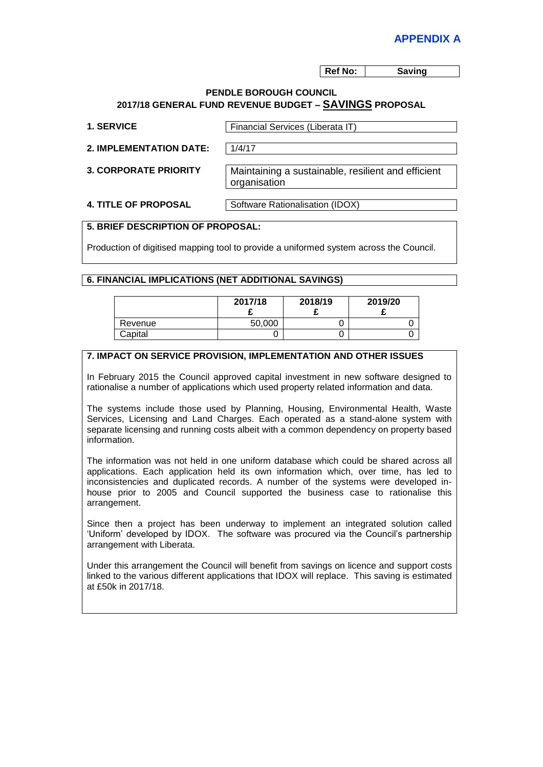**Ref No: Saving** 

#### **PENDLE BOROUGH COUNCIL 2017/18 GENERAL FUND REVENUE BUDGET – SAVINGS PROPOSAL**

| <b>1. SERVICE</b>              | Financial Services (Liberata IT)                                   |
|--------------------------------|--------------------------------------------------------------------|
| <b>2. IMPLEMENTATION DATE:</b> | 1/4/17                                                             |
| <b>3. CORPORATE PRIORITY</b>   | Maintaining a sustainable, resilient and efficient<br>organisation |
| <b>4. TITLE OF PROPOSAL</b>    | Software Rationalisation (IDOX)                                    |

## **5. BRIEF DESCRIPTION OF PROPOSAL:**

Production of digitised mapping tool to provide a uniformed system across the Council.

#### **6. FINANCIAL IMPLICATIONS (NET ADDITIONAL SAVINGS)**

|         | 2017/18 | 2018/19 | 2019/20 |
|---------|---------|---------|---------|
| Revenue | 50,000  |         |         |
| Capital |         |         |         |

#### **7. IMPACT ON SERVICE PROVISION, IMPLEMENTATION AND OTHER ISSUES**

In February 2015 the Council approved capital investment in new software designed to rationalise a number of applications which used property related information and data.

The systems include those used by Planning, Housing, Environmental Health, Waste Services, Licensing and Land Charges. Each operated as a stand-alone system with separate licensing and running costs albeit with a common dependency on property based information.

The information was not held in one uniform database which could be shared across all applications. Each application held its own information which, over time, has led to inconsistencies and duplicated records. A number of the systems were developed inhouse prior to 2005 and Council supported the business case to rationalise this arrangement.

Since then a project has been underway to implement an integrated solution called 'Uniform' developed by IDOX. The software was procured via the Council's partnership arrangement with Liberata.

Under this arrangement the Council will benefit from savings on licence and support costs linked to the various different applications that IDOX will replace. This saving is estimated at £50k in 2017/18.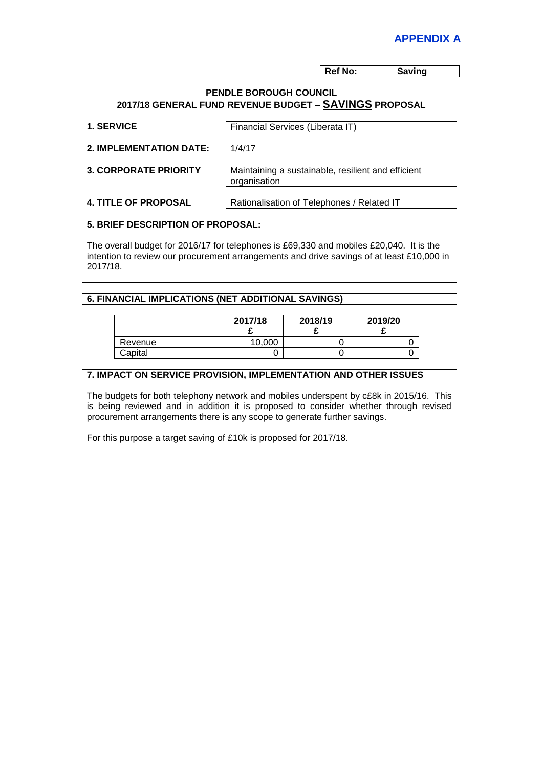**Ref No: Saving** 

#### **PENDLE BOROUGH COUNCIL 2017/18 GENERAL FUND REVENUE BUDGET – SAVINGS PROPOSAL**

| <b>1. SERVICE</b>              | Financial Services (Liberata IT)                                   |
|--------------------------------|--------------------------------------------------------------------|
| <b>2. IMPLEMENTATION DATE:</b> | 1/4/17                                                             |
| <b>3. CORPORATE PRIORITY</b>   | Maintaining a sustainable, resilient and efficient<br>organisation |
| <b>4. TITLE OF PROPOSAL</b>    | Rationalisation of Telephones / Related IT                         |

## **5. BRIEF DESCRIPTION OF PROPOSAL:**

The overall budget for 2016/17 for telephones is £69,330 and mobiles £20,040. It is the intention to review our procurement arrangements and drive savings of at least £10,000 in 2017/18.

### **6. FINANCIAL IMPLICATIONS (NET ADDITIONAL SAVINGS)**

|         | 2017/18 | 2018/19 | 2019/20 |
|---------|---------|---------|---------|
| Revenue | 10,000  |         |         |
| Capital |         |         |         |

## **7. IMPACT ON SERVICE PROVISION, IMPLEMENTATION AND OTHER ISSUES**

The budgets for both telephony network and mobiles underspent by c£8k in 2015/16. This is being reviewed and in addition it is proposed to consider whether through revised procurement arrangements there is any scope to generate further savings.

For this purpose a target saving of £10k is proposed for 2017/18.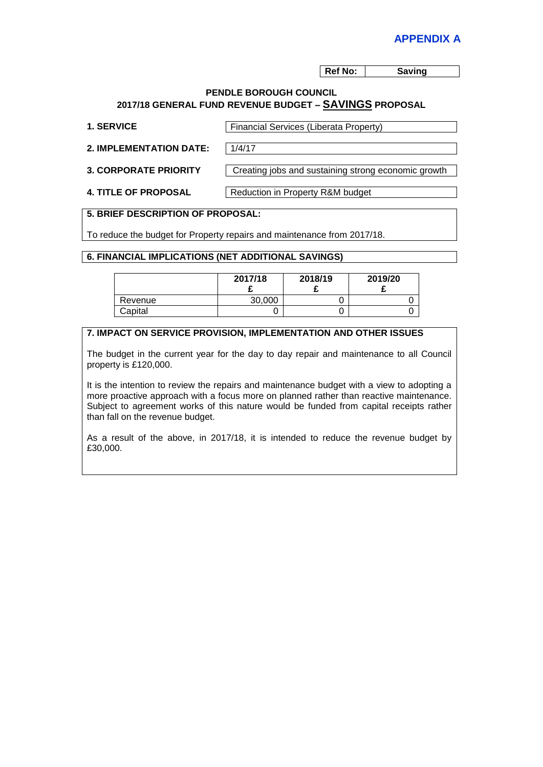**Ref No: Saving** 

#### **PENDLE BOROUGH COUNCIL 2017/18 GENERAL FUND REVENUE BUDGET – SAVINGS PROPOSAL**

| <b>1. SERVICE</b>              | <b>Financial Services (Liberata Property)</b>       |  |
|--------------------------------|-----------------------------------------------------|--|
| <b>2. IMPLEMENTATION DATE:</b> | 1/4/17                                              |  |
| <b>3. CORPORATE PRIORITY</b>   | Creating jobs and sustaining strong economic growth |  |
| <b>4. TITLE OF PROPOSAL</b>    | Reduction in Property R&M budget                    |  |

#### **5. BRIEF DESCRIPTION OF PROPOSAL:**

To reduce the budget for Property repairs and maintenance from 2017/18.

#### **6. FINANCIAL IMPLICATIONS (NET ADDITIONAL SAVINGS)**

|         | 2017/18 | 2018/19 | 2019/20 |
|---------|---------|---------|---------|
| Revenue | 30,000  |         |         |
| Capital |         |         |         |

#### **7. IMPACT ON SERVICE PROVISION, IMPLEMENTATION AND OTHER ISSUES**

The budget in the current year for the day to day repair and maintenance to all Council property is £120,000.

It is the intention to review the repairs and maintenance budget with a view to adopting a more proactive approach with a focus more on planned rather than reactive maintenance. Subject to agreement works of this nature would be funded from capital receipts rather than fall on the revenue budget.

As a result of the above, in 2017/18, it is intended to reduce the revenue budget by £30,000.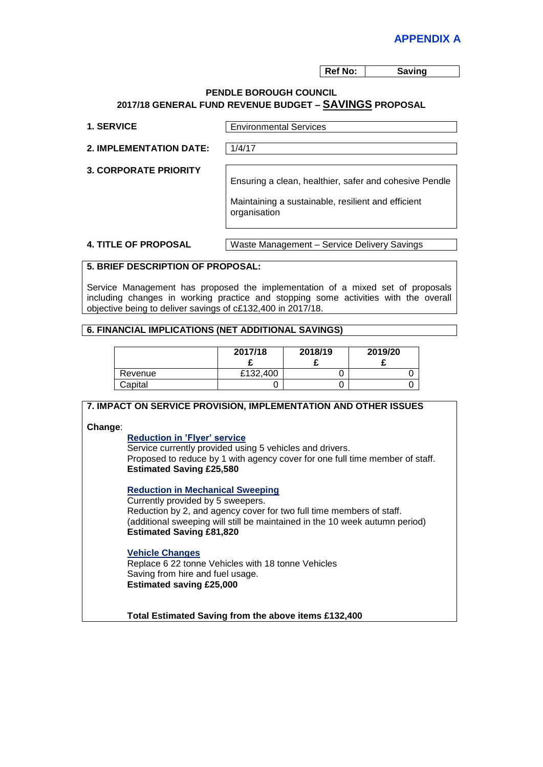**Ref No: Saving** 

#### **PENDLE BOROUGH COUNCIL 2017/18 GENERAL FUND REVENUE BUDGET – SAVINGS PROPOSAL**

| <b>. SERVICE</b> |  |
|------------------|--|
|------------------|--|

**Environmental Services** 

**2. IMPLEMENTATION DATE:** 1/4/17

**3. CORPORATE PRIORITY**

Ensuring a clean, healthier, safer and cohesive Pendle

Maintaining a sustainable, resilient and efficient organisation

**4. TITLE OF PROPOSAL** Waste Management – Service Delivery Savings

## **5. BRIEF DESCRIPTION OF PROPOSAL:**

Service Management has proposed the implementation of a mixed set of proposals including changes in working practice and stopping some activities with the overall objective being to deliver savings of c£132,400 in 2017/18.

#### **6. FINANCIAL IMPLICATIONS (NET ADDITIONAL SAVINGS)**

|         | 2017/18  | 2018/19 | 2019/20 |
|---------|----------|---------|---------|
| Revenue | £132,400 |         |         |
| Capital |          |         |         |

**7. IMPACT ON SERVICE PROVISION, IMPLEMENTATION AND OTHER ISSUES Change**: **Reduction in 'Flyer' service** Service currently provided using 5 vehicles and drivers. Proposed to reduce by 1 with agency cover for one full time member of staff. **Estimated Saving £25,580 Reduction in Mechanical Sweeping** Currently provided by 5 sweepers. Reduction by 2, and agency cover for two full time members of staff. (additional sweeping will still be maintained in the 10 week autumn period) **Estimated Saving £81,820**

#### **Vehicle Changes**

Replace 6 22 tonne Vehicles with 18 tonne Vehicles Saving from hire and fuel usage. **Estimated saving £25,000**

**Total Estimated Saving from the above items £132,400**